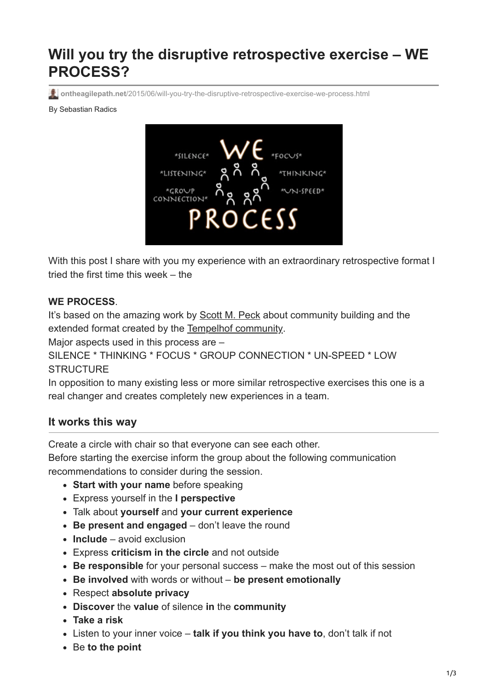# **Will you try the disruptive retrospective exercise – WE PROCESS?**

**ontheagilepath.net**[/2015/06/will-you-try-the-disruptive-retrospective-exercise-we-process.html](https://www.ontheagilepath.net/2015/06/will-you-try-the-disruptive-retrospective-exercise-we-process.html)

By Sebastian Radics



With this post I share with you my experience with an extraordinary retrospective format I tried the first time this week – the

#### **WE PROCESS**.

It's based on the amazing work by [Scott M. Peck](https://en.wikipedia.org/wiki/M._Scott_Peck) about community building and the extended format created by the [Tempelhof community](http://www.schloss-tempelhof.de/service/english/).

Major aspects used in this process are -

```
SILENCE * THINKING * FOCUS * GROUP CONNECTION * UN-SPEED * LOW
STRUCTURE
```
In opposition to many existing less or more similar retrospective exercises this one is a real changer and creates completely new experiences in a team.

#### **It works this way**

Create a circle with chair so that everyone can see each other.

Before starting the exercise inform the group about the following communication recommendations to consider during the session.

- **Start with your name** before speaking
- Express yourself in the **I perspective**
- Talk about **yourself** and **your current experience**
- **Be present and engaged** don't leave the round
- **Include** avoid exclusion
- Express **criticism in the circle** and not outside
- **Be responsible** for your personal success make the most out of this session
- **Be involved** with words or without **be present emotionally**
- Respect **absolute privacy**
- **Discover** the **value** of silence **in** the **community**
- **Take a risk**
- Listen to your inner voice **talk if you think you have to**, don't talk if not
- Be **to the point**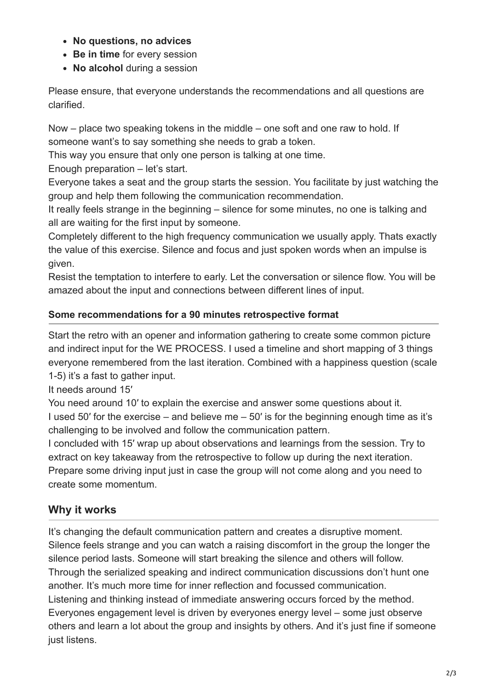- **No questions, no advices**
- **Be in time** for every session
- No alcohol during a session

Please ensure, that everyone understands the recommendations and all questions are clarified.

Now – place two speaking tokens in the middle – one soft and one raw to hold. If someone want's to say something she needs to grab a token.

This way you ensure that only one person is talking at one time.

Enough preparation – let's start.

Everyone takes a seat and the group starts the session. You facilitate by just watching the group and help them following the communication recommendation.

It really feels strange in the beginning – silence for some minutes, no one is talking and all are waiting for the first input by someone.

Completely different to the high frequency communication we usually apply. Thats exactly the value of this exercise. Silence and focus and just spoken words when an impulse is given.

Resist the temptation to interfere to early. Let the conversation or silence flow. You will be amazed about the input and connections between different lines of input.

### **Some recommendations for a 90 minutes retrospective format**

Start the retro with an opener and information gathering to create some common picture and indirect input for the WE PROCESS. I used a timeline and short mapping of 3 things everyone remembered from the last iteration. Combined with a happiness question (scale 1-5) it's a fast to gather input.

It needs around 15′

You need around 10′ to explain the exercise and answer some questions about it. I used 50' for the exercise – and believe me  $-50'$  is for the beginning enough time as it's challenging to be involved and follow the communication pattern.

I concluded with 15′ wrap up about observations and learnings from the session. Try to extract on key takeaway from the retrospective to follow up during the next iteration. Prepare some driving input just in case the group will not come along and you need to create some momentum.

## **Why it works**

It's changing the default communication pattern and creates a disruptive moment. Silence feels strange and you can watch a raising discomfort in the group the longer the silence period lasts. Someone will start breaking the silence and others will follow. Through the serialized speaking and indirect communication discussions don't hunt one another. It's much more time for inner reflection and focussed communication. Listening and thinking instead of immediate answering occurs forced by the method. Everyones engagement level is driven by everyones energy level – some just observe others and learn a lot about the group and insights by others. And it's just fine if someone just listens.